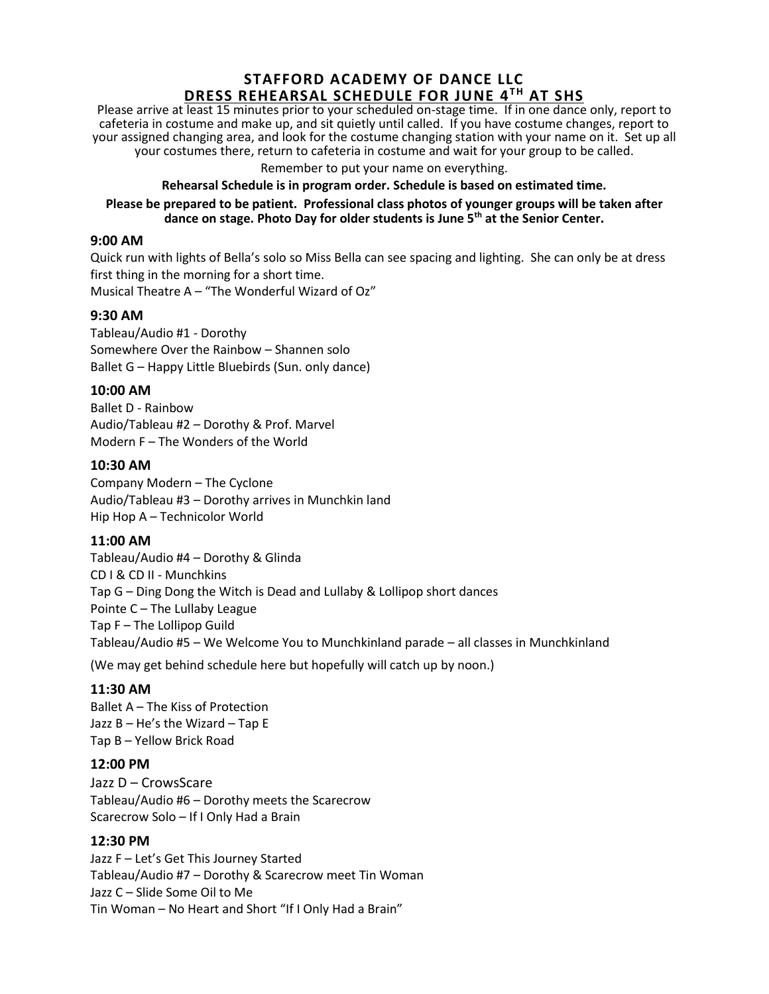# **STAFFORD ACADEMY OF DANCE LLC DRESS REHEARSAL SCHEDULE FOR JUNE 4 TH AT SHS**

Please arrive at least 15 minutes prior to your scheduled on-stage time. If in one dance only, report to cafeteria in costume and make up, and sit quietly until called. If you have costume changes, report to your assigned changing area, and look for the costume changing station with your name on it. Set up all your costumes there, return to cafeteria in costume and wait for your group to be called.

Remember to put your name on everything.

#### **Rehearsal Schedule is in program order. Schedule is based on estimated time.**

**Please be prepared to be patient. Professional class photos of younger groups will be taken after dance on stage. Photo Day for older students is June 5th at the Senior Center.**

#### **9:00 AM**

Quick run with lights of Bella's solo so Miss Bella can see spacing and lighting. She can only be at dress first thing in the morning for a short time. Musical Theatre A – "The Wonderful Wizard of Oz"

#### **9:30 AM**

Tableau/Audio #1 - Dorothy Somewhere Over the Rainbow – Shannen solo Ballet G – Happy Little Bluebirds (Sun. only dance)

### **10:00 AM**

Ballet D - Rainbow Audio/Tableau #2 – Dorothy & Prof. Marvel Modern F – The Wonders of the World

### **10:30 AM**

Company Modern – The Cyclone Audio/Tableau #3 – Dorothy arrives in Munchkin land Hip Hop A – Technicolor World

### **11:00 AM**

Tableau/Audio #4 – Dorothy & Glinda CD I & CD II - Munchkins Tap G – Ding Dong the Witch is Dead and Lullaby & Lollipop short dances Pointe C – The Lullaby League Tap F – The Lollipop Guild Tableau/Audio #5 – We Welcome You to Munchkinland parade – all classes in Munchkinland

(We may get behind schedule here but hopefully will catch up by noon.)

### **11:30 AM**

Ballet A – The Kiss of Protection Jazz B – He's the Wizard – Tap E Tap B – Yellow Brick Road

### **12:00 PM**

Jazz D – CrowsScare Tableau/Audio #6 – Dorothy meets the Scarecrow Scarecrow Solo – If I Only Had a Brain

### **12:30 PM**

Jazz F – Let's Get This Journey Started Tableau/Audio #7 – Dorothy & Scarecrow meet Tin Woman Jazz C – Slide Some Oil to Me Tin Woman – No Heart and Short "If I Only Had a Brain"